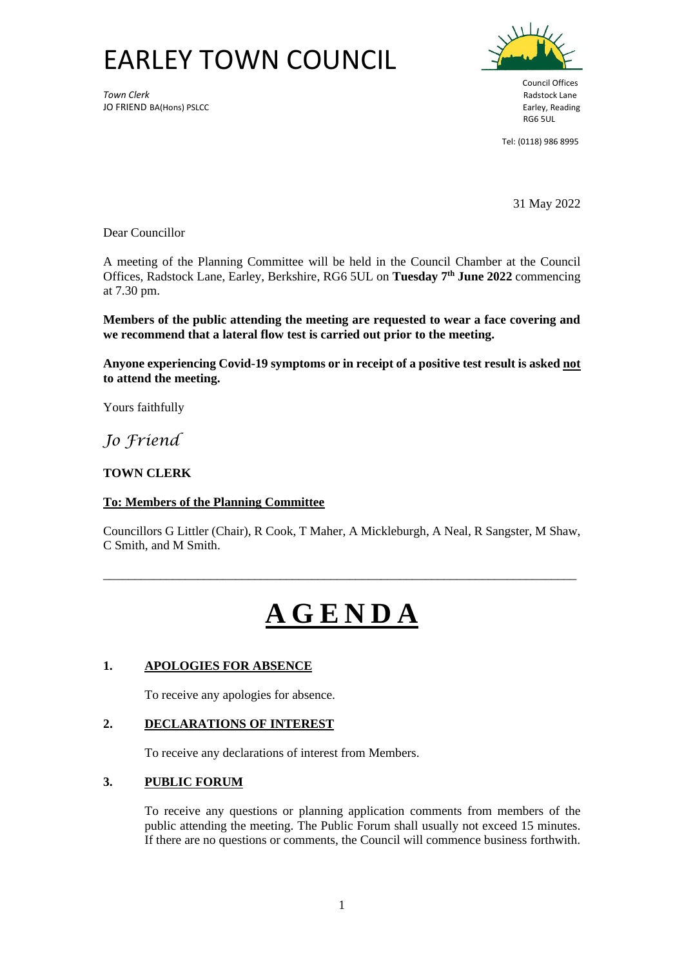## EARLEY TOWN COUNCIL

**Town Clerk** Radstock Lane JO FRIEND BA(Hons) PSLCC **Earley, Reading** Superior Case of Texas and Texas and Texas and Texas and Texas and Te<br>RG6 5UL



Council Offices RG6 5UL

Tel: (0118) 986 8995

31 May 2022

Dear Councillor

A meeting of the Planning Committee will be held in the Council Chamber at the Council Offices, Radstock Lane, Earley, Berkshire, RG6 5UL on **Tuesday 7 th June 2022** commencing at 7.30 pm.

**Members of the public attending the meeting are requested to wear a face covering and we recommend that a lateral flow test is carried out prior to the meeting.** 

**Anyone experiencing Covid-19 symptoms or in receipt of a positive test result is asked not to attend the meeting.**

Yours faithfully

*Jo Friend*

## **TOWN CLERK**

## **To: Members of the Planning Committee**

Councillors G Littler (Chair), R Cook, T Maher, A Mickleburgh, A Neal, R Sangster, M Shaw, C Smith, and M Smith.

\_\_\_\_\_\_\_\_\_\_\_\_\_\_\_\_\_\_\_\_\_\_\_\_\_\_\_\_\_\_\_\_\_\_\_\_\_\_\_\_\_\_\_\_\_\_\_\_\_\_\_\_\_\_\_\_\_\_\_\_\_\_\_\_\_\_\_\_\_\_\_\_\_\_\_

# **A G E N D A**

## **1. APOLOGIES FOR ABSENCE**

To receive any apologies for absence.

## **2. DECLARATIONS OF INTEREST**

To receive any declarations of interest from Members.

## **3. PUBLIC FORUM**

To receive any questions or planning application comments from members of the public attending the meeting. The Public Forum shall usually not exceed 15 minutes. If there are no questions or comments, the Council will commence business forthwith.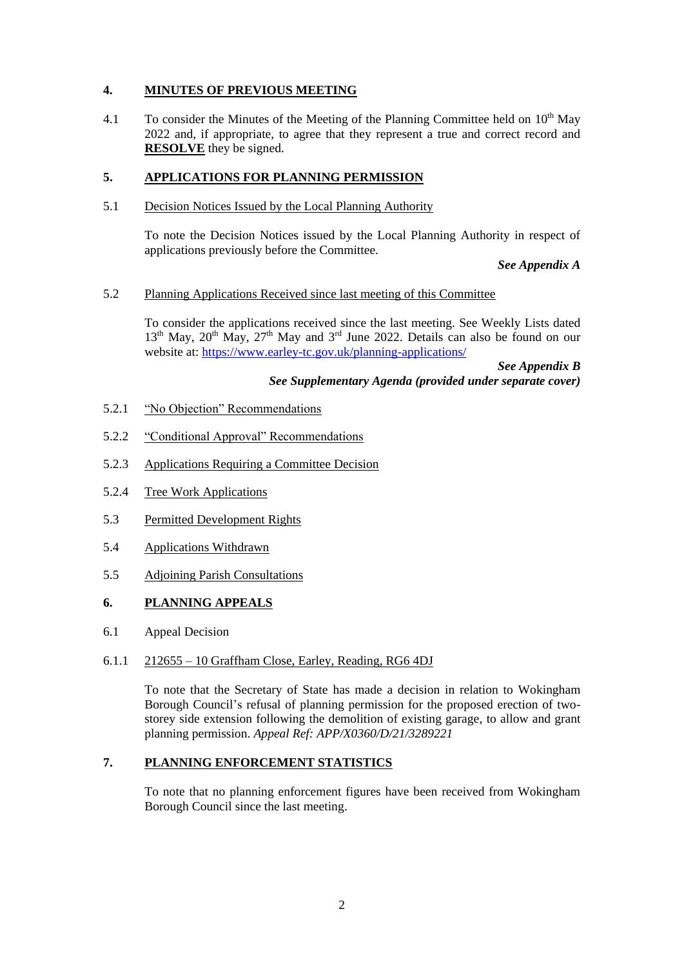### **4. MINUTES OF PREVIOUS MEETING**

4.1 To consider the Minutes of the Meeting of the Planning Committee held on  $10<sup>th</sup>$  May 2022 and, if appropriate, to agree that they represent a true and correct record and **RESOLVE** they be signed.

#### **5. APPLICATIONS FOR PLANNING PERMISSION**

5.1 Decision Notices Issued by the Local Planning Authority

To note the Decision Notices issued by the Local Planning Authority in respect of applications previously before the Committee.

*See Appendix A*

#### 5.2 Planning Applications Received since last meeting of this Committee

To consider the applications received since the last meeting. See Weekly Lists dated  $13<sup>th</sup>$  May,  $20<sup>th</sup>$  May,  $27<sup>th</sup>$  May and  $3<sup>rd</sup>$  June 2022. Details can also be found on our website at: <https://www.earley-tc.gov.uk/planning-applications/>

> *See Appendix B See Supplementary Agenda (provided under separate cover)*

- 5.2.1 "No Objection" Recommendations
- 5.2.2 "Conditional Approval" Recommendations
- 5.2.3 Applications Requiring a Committee Decision
- 5.2.4 Tree Work Applications
- 5.3 Permitted Development Rights
- 5.4 Applications Withdrawn
- 5.5 Adjoining Parish Consultations

#### **6. PLANNING APPEALS**

6.1 Appeal Decision

#### 6.1.1 212655 – 10 Graffham Close, Earley, Reading, RG6 4DJ

To note that the Secretary of State has made a decision in relation to Wokingham Borough Council's refusal of planning permission for the proposed erection of twostorey side extension following the demolition of existing garage, to allow and grant planning permission. *Appeal Ref: APP/X0360/D/21/3289221*

## **7. PLANNING ENFORCEMENT STATISTICS**

To note that no planning enforcement figures have been received from Wokingham Borough Council since the last meeting.